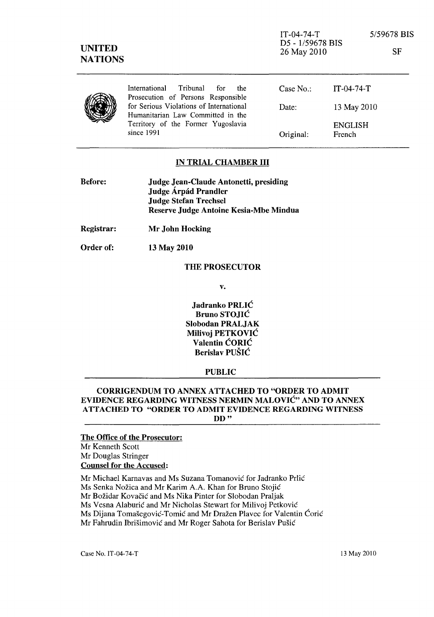| <b>UNITED</b><br><b>NATIONS</b> |                                                                               | $IT-04-74-T$<br>D5 - 1/59678 BIS<br>26 May 2010 |                          | 5/59678 BIS<br>SF |
|---------------------------------|-------------------------------------------------------------------------------|-------------------------------------------------|--------------------------|-------------------|
|                                 | International<br>Tribunal<br>for<br>the<br>Prosecution of Persons Responsible | Case $No.$ :                                    | $IT-04-74-T$             |                   |
|                                 | for Serious Violations of International<br>Humanitarian Law Committed in the  | Date:                                           | 13 May 2010              |                   |
|                                 | Territory of the Former Yugoslavia<br>since 1991                              | Original:                                       | <b>ENGLISH</b><br>French |                   |

#### IN TRIAL CHAMBER III

| <b>Before:</b> | Judge Jean-Claude Antonetti, presiding |
|----------------|----------------------------------------|
|                | Judge Árpád Prandler                   |
|                | <b>Judge Stefan Trechsel</b>           |
|                | Reserve Judge Antoine Kesia-Mbe Mindua |
|                |                                        |

Registrar: Mr John Hocking

Order of: 13 May 2010

## THE PROSECUTOR

v.

Jadranko PRLIĆ Bruno STOJIC Slobodan PRALJAK Milivoj PETKOVIC Valentin CORIC Berislav PUSIC

### PUBLIC

### CORRIGENDUM TO ANNEX ATTACHED TO "ORDER TO ADMIT EVIDENCE REGARDING WITNESS NERMIN MALOVIC" AND TO ANNEX ATTACHED TO "ORDER TO ADMIT EVIDENCE REGARDING WITNESS DD"

# The Office of the Prosecutor: Mr Kenneth Scott Mr Douglas Stringer Counsel for the Accused:

Mr Michael Karnavas and Ms Suzana Tomanović for Jadranko Prlić Ms Senka Nožica and Mr Karim A.A. Khan for Bruno Stojić

Mr Božidar Kovačić and Ms Nika Pinter for Slobodan Praljak

Ms Vesna Alaburić and Mr Nicholas Stewart for Milivoj Petković

Ms Dijana Tomašegović-Tomić and Mr Dražen Plavec for Valentin Ćorić

Mr Fahrudin Ibrišimović and Mr Roger Sahota for Berislav Pušić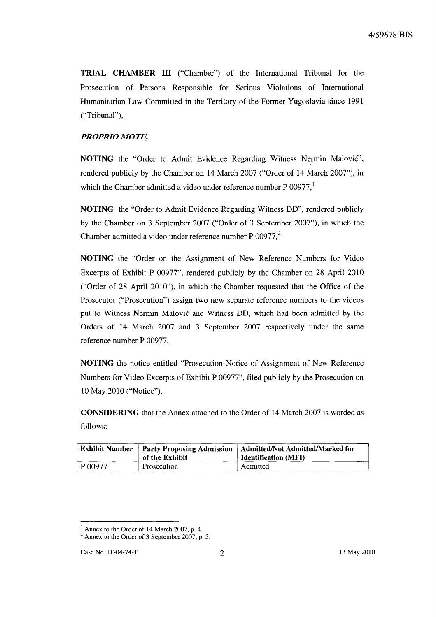**TRIAL CHAMBER III** ("Chamber") of the International Tribunal for the Prosecution of Persons Responsible for Serious Violations of International Humanitarian Law Committed in the Territory of the Former Yugoslavia since 1991 ("Tribunal"),

## *PROPRIO MOTU,*

**NOTING** the "Order to Admit Evidence Regarding Witness Nermin Malovic", rendered publicly by the Chamber on 14 March 2007 ("Order of 14 March 2007"), in which the Chamber admitted a video under reference number P  $00977$ ,<sup>1</sup>

**NOTING** the "Order to Admit Evidence Regarding Witness DD", rendered publicly by the Chamber on 3 September 2007 ("Order of 3 September 2007"), in which the Chamber admitted a video under reference number  $P 00977$ ,<sup>2</sup>

**NOTING** the "Order on the Assignment of New Reference Numbers for Video Excerpts of Exhibit P 00977", rendered publicly by the Chamber on 28 April 2010 ("Order of 28 April 2010"), in which the Chamber requested that the Office of the Prosecutor ("Prosecution") assign two new separate reference numbers to the videos put to Witness Nermin Malovic and Witness DD, which had been admitted by the Orders of 14 March 2007 and 3 September 2007 respectively under the same reference number P 00977,

**NOTING** the notice entitled "Prosecution Notice of Assignment of New Reference Numbers for Video Excerpts of Exhibit P 00977", filed publicly by the Prosecution on 10 May 2010 ("Notice"),

**CONSIDERING** that the Annex attached to the Order of 14 March 2007 is worded as follows:

|         | of the Exhibit | <b>Exhibit Number</b>   Party Proposing Admission   Admitted/Not Admitted/Marked for<br><b>Identification</b> (MFI) |
|---------|----------------|---------------------------------------------------------------------------------------------------------------------|
| P 00977 | Prosecution    | Admitted                                                                                                            |

 $<sup>1</sup>$  Annex to the Order of 14 March 2007, p. 4.</sup>

<sup>&</sup>lt;sup>2</sup> Annex to the Order of 3 September 2007, p. 5.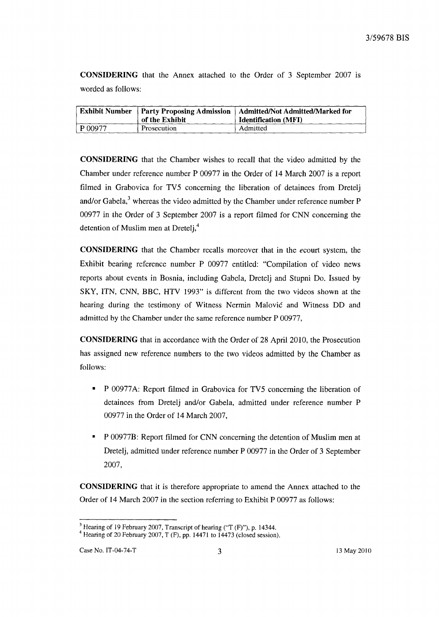CONSIDERING that the Annex attached to the Order of 3 September 2007 is worded as follows:

|         | <b>Exhibit Number</b>   Party Proposing Admission<br>of the Exhibit | Admitted/Not Admitted/Marked for<br><b>Identification (MFI)</b> |
|---------|---------------------------------------------------------------------|-----------------------------------------------------------------|
| P 00977 | Prosecution                                                         | Admitted                                                        |

CONSIDERING that the Chamber wishes to recall that the video admitted by the Chamber under reference number P 00977 in the Order of 14 March 2007 is a report filmed in Grabovica for TV5 concerning the liberation of detainees from Dretelj and/or Gabela, $<sup>3</sup>$  whereas the video admitted by the Chamber under reference number P</sup> 00977 in the Order of 3 September 2007 is a report filmed for CNN concerning the detention of Muslim men at Dretelj,<sup>4</sup>

CONSIDERING that the Chamber recalls moreover that in the *ecourt* system, the Exhibit bearing reference number P 00977 entitled: "Compilation of video news reports about events in Bosnia, including Gabela, Dretelj and Stupni Do. Issued by SKY, ITN, CNN, BBC, HTV 1993" is different from the two videos shown at the hearing during the testimony of Witness Nermin Malovic and Witness DD and admitted by the Chamber under the same reference number P 00977,

CONSIDERING that in accordance with the Order of 28 April 2010, the Prosecution has assigned new reference numbers to the two videos admitted by the Chamber as follows:

- P 00977 A: Report filmed in Grabovica for TV5 concerning the liberation of detainees from Dretelj and/or Gabela, admitted under reference number P 00977 in the Order of 14 March 2007,
- P 00977B: Report filmed for CNN concerning the detention of Muslim men at Dretelj, admitted under reference number P 00977 in the Order of 3 September 2007,

CONSIDERING that it is therefore appropriate to amend the Annex attached to the Order of 14 March 2007 in the section referring to Exhibit P 00977 as follows:

<sup>&</sup>lt;sup>3</sup> Hearing of 19 February 2007, Transcript of hearing ("T (F)"), p. 14344.

<sup>&</sup>lt;sup>4</sup> Hearing of 20 February 2007, T (F), pp. 14471 to 14473 (closed session).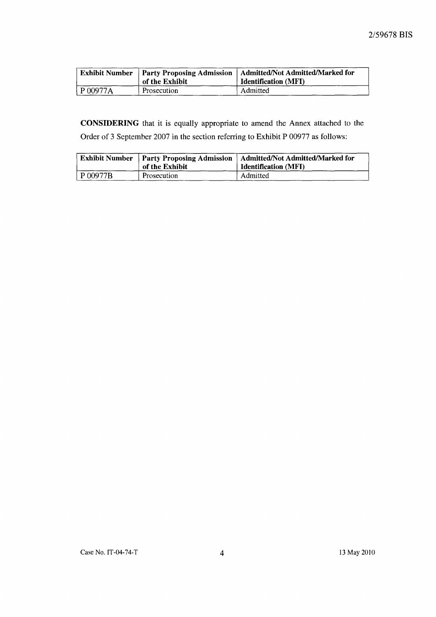|                     | of the Exhibit | Exhibit Number   Party Proposing Admission   Admitted/Not Admitted/Marked for<br><b>Identification</b> (MFI) |
|---------------------|----------------|--------------------------------------------------------------------------------------------------------------|
| $^{\circ}$ P 00977A | Prosecution    | Admitted                                                                                                     |

CONSIDERING that it is equally appropriate to amend the Annex attached to the Order of 3 September 2007 in the section referring to Exhibit P 00977 as follows:

|              | of the Exhibit | Exhibit Number   Party Proposing Admission   Admitted/Not Admitted/Marked for<br>Identification (MFI) |
|--------------|----------------|-------------------------------------------------------------------------------------------------------|
| $P_{00977B}$ | Prosecution    | Admitted                                                                                              |